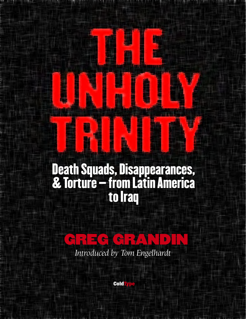## **Death Squads, Disappearances, & Torture – from Latin America to Iraq**

1.11.1.1.1.1.1



*Introduced by Tom Engelhardt*

**Cold**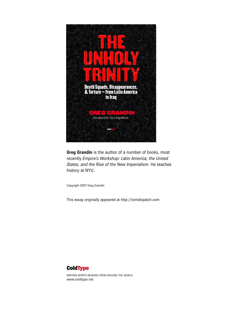

**Greg Grandin** is the author of a number of books, most recently *Empire's Workshop: Latin America, the United States, and the Rise of the New Imperialism*. He teaches history at NYU.

Copyright 2007 Greg Grandin

This essay originally appeared at<http://tomdispatch.com>



WRITING WORTH READING FROM AROUND THE WORLD [www.coldtype.net](http://www.coldtype.net)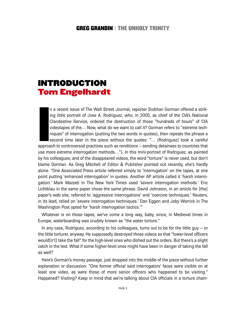## **INTRODUCTION Tom Engelhardt**

**I**<br> **I**<br> **I**<br> **I**<br> **I**<br> **I** n a recent issue of The Wall Street Journal, reporter Siobhan Gorman offered a striking little portrait of Jose A. Rodriguez, who, in 2005, as chief of the CIA's National Clandestine Service, ordered the destruction of those "hundreds of hours" of CIA videotapes of the… Now, what do we want to call it? Gorman refers to "extreme techniques" of interrogation (putting the two words in quotes), then repeats the phrase a second time later in the piece without the quotes: "… [Rodriguez] took a careful approach to controversial practices such as renditions – sending detainees to countries that use more extreme interrogation methods…"). In this mini-portrait of Rodriguez, as painted by his colleagues, and of the disappeared videos, the word "torture" is never used, but don't blame Gorman. As Greg Mitchell of Editor & Publisher pointed out recently, she's hardly alone. "One Associated Press article referred simply to 'interrogation' on the tapes, at one point putting 'enhanced interrogation' in quotes. Another AP article called it 'harsh interrogation.' Mark Mazzeti in The New York Times used 'severe interrogation methods.' Eric Lichtblau in the same paper chose the same phrase. David Johnston, in an article for [the] paper's web site, referred to 'aggressive interrogations' and 'coercive techniques.' Reuters, in its lead, relied on 'severe interrogation techniques.' Dan Eggen and Joby Warrick in The Washington Post opted for 'harsh interrogation tactics.'"

Whatever is on those tapes, we've come a long way, baby, since, in Medieval times in Europe, waterboarding was crudely known as "the water torture."

In any case, Rodriguez, according to his colleagues, turns out to be for the little guy – or the little torturer, anyway. He supposedly destroyed those videos so that "lower-level officers would[n't] take the fall" for the high-level ones who dished out the orders. But there's a slight catch in the text. What if some higher-level ones might have been in danger of taking the fall as well?

Here's Gorman's money passage, just dropped into the middle of the piece without further explanation or discussion: "One former official said interrogators' faces were visible on at least one video, as were those of more senior officers who happened to be visiting." Happened? Visiting? Keep in mind that we're talking about CIA officials in a torture cham-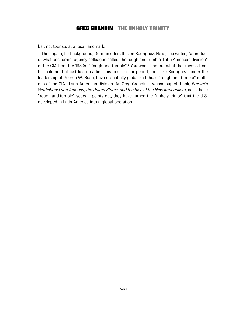ber, not tourists at a local landmark.

Then again, for background, Gorman offers this on Rodriguez: He is, she writes, "a product of what one former agency colleague called 'the rough-and-tumble' Latin American division" of the CIA from the 1980s. "Rough and tumble"? You won't find out what that means from her column, but just keep reading this post. In our period, men like Rodriguez, under the leadership of George W. Bush, have essentially globalized those "rough and tumble" methods of the CIA's Latin American division. As Greg Grandin – whose superb book, *Empire's Workshop: Latin America, the United States, and the Rise of the New Imperialism*, nails those "rough-and-tumble" years – points out, they have turned the "unholy trinity" that the U.S. developed in Latin America into a global operation.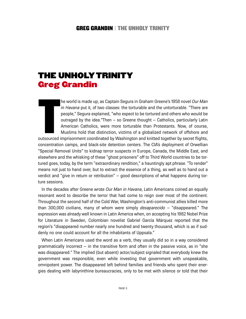## **THE UNHOLYTRINITY Greg Grandin**

**T** he world is made up, as Captain Segura in Graham Greene's 1958 novel *Our Man in Havana* put it, of two classes: the torturable and the untorturable. "There are people," Segura explained, "who expect to be tortured and others who would be outraged by the idea."Then – so Greene thought – Catholics, particularly Latin American Catholics, were more torturable than Protestants. Now, of course, Muslims hold that distinction, victims of a globalized network of offshore and

outsourced imprisonment coordinated by Washington and knitted together by secret flights, concentration camps, and black-site detention centers. The CIA's deployment of Orwellian "Special Removal Units" to kidnap terror suspects in Europe, Canada, the Middle East, and elsewhere and the whisking of these "ghost prisoners" off to Third World countries to be tortured goes, today, by the term "extraordinary rendition," a hauntingly apt phrase. "To render" means not just to hand over, but to extract the essence of a thing, as well as to hand out a verdict and "give in return or retribution" – good descriptions of what happens during torture sessions.

In the decades after Greene wrote *Our Man in Havana*, Latin Americans coined an equally resonant word to describe the terror that had come to reign over most of the continent. Throughout the second half of the Cold War, Washington's anti-communist allies killed more than 300,000 civilians, many of whom were simply *desaparecido* – "disappeared." The expression was already well known in Latin America when, on accepting his 1982 Nobel Prize for Literature in Sweden, Colombian novelist Gabriel García Márquez reported that the region's "disappeared number nearly one hundred and twenty thousand, which is as if suddenly no one could account for all the inhabitants of Uppsala."

When Latin Americans used the word as a verb, they usually did so in a way considered grammatically incorrect  $-$  in the transitive form and often in the passive voice, as in "she was disappeared." The implied (but absent) actor/subject signaled that everybody knew the government was responsible, even while investing that government with unspeakable, omnipotent power. The disappeared left behind families and friends who spent their energies dealing with labyrinthine bureaucracies, only to be met with silence or told that their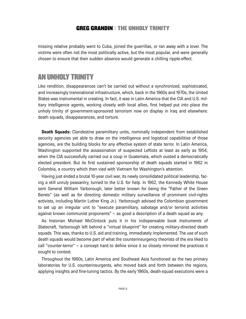missing relative probably went to Cuba, joined the guerrillas, or ran away with a lover. The victims were often not the most politically active, but the most popular, and were generally chosen to ensure that their sudden absence would generate a chilling ripple-effect.

## **AN UNHOLY TRINITY**

Like rendition, disappearances can't be carried out without a synchronized, sophisticated, and increasingly transnational infrastructure, which, back in the 1960s and 1970s, the United States was instrumental in creating. In fact, it was in Latin America that the CIA and U.S. military intelligence agents, working closely with local allies, first helped put into place the unholy trinity of government-sponsored terrorism now on display in Iraq and elsewhere: death squads, disappearances, and torture.

**Death Squads:** Clandestine paramilitary units, nominally independent from established security agencies yet able to draw on the intelligence and logistical capabilities of those agencies, are the building blocks for any effective system of state terror. In Latin America, Washington supported the assassination of suspected Leftists at least as early as 1954, when the CIA successfully carried out a coup in Guatemala, which ousted a democratically elected president. But its first sustained sponsorship of death squads started in 1962 in Colombia, a country which then vied with Vietnam for Washington's attention.

Having just ended a brutal 10-year civil war, its newly consolidated political leadership, facing a still unruly peasantry, turned to the U.S. for help. In 1962, the Kennedy White House sent General William Yarborough, later better known for being the "Father of the Green Berets" (as well as for directing domestic military surveillance of prominent civil-rights activists, including Martin Luther King Jr.). Yarborough advised the Colombian government to set up an irregular unit to "execute paramilitary, sabotage and/or terrorist activities against known communist proponents" – as good a description of a death squad as any.

As historian Michael McClintock puts it in his indispensable book *Instruments of Statecraft,* Yarborough left behind a "virtual blueprint" for creating military-directed death squads. This was, thanks to U.S. aid and training, immediately implemented. The use of such death squads would become part of what the counterinsurgency theorists of the era liked to call "counter-terror" – a concept hard to define since it so closely mirrored the practices it sought to contest.

Throughout the 1960s, Latin America and Southeast Asia functioned as the two primary laboratories for U.S. counterinsurgents, who moved back and forth between the regions, applying insights and fine-tuning tactics. By the early 1960s, death-squad executions were a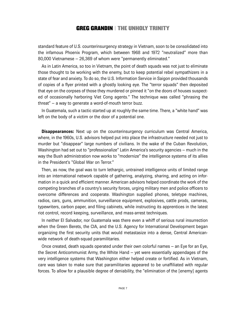standard feature of U.S. counterinsurgency strategy in Vietnam, soon to be consolidated into the infamous Phoenix Program, which between 1968 and 1972 "neutralized" more than 80,000 Vietnamese – 26,369 of whom were "permanently eliminated."

As in Latin America, so too in Vietnam, the point of death squads was not just to eliminate those thought to be working with the enemy, but to keep potential rebel sympathizers in a state of fear and anxiety. To do so, the U.S. Information Service in Saigon provided thousands of copies of a flyer printed with a ghostly looking eye. The "terror squads" then deposited that eye on the corpses of those they murdered or pinned it "on the doors of houses suspected of occasionally harboring Viet Cong agents." The technique was called "phrasing the threat" – a way to generate a word-of-mouth terror buzz.

In Guatemala, such a tactic started up at roughly the same time. There, a "white hand" was left on the body of a victim or the door of a potential one.

**Disappearances:** Next up on the counterinsurgency curriculum was Central America, where, in the 1960s, U.S. advisors helped put into place the infrastructure needed not just to murder but "disappear" large numbers of civilians. In the wake of the Cuban Revolution, Washington had set out to "professionalize" Latin America's security agencies – much in the way the Bush administration now works to "modernize" the intelligence systems of its allies in the President's "Global War on Terror."

Then, as now, the goal was to turn lethargic, untrained intelligence units of limited range into an international network capable of gathering, analyzing, sharing, and acting on information in a quick and efficient manner. American advisors helped coordinate the work of the competing branches of a country's security forces, urging military men and police officers to overcome differences and cooperate. Washington supplied phones, teletype machines, radios, cars, guns, ammunition, surveillance equipment, explosives, cattle prods, cameras, typewriters, carbon paper, and filing cabinets, while instructing its apprentices in the latest riot control, record keeping, surveillance, and mass-arrest techniques.

In neither El Salvador, nor Guatemala was there even a whiff of serious rural insurrection when the Green Berets, the CIA, and the U.S. Agency for International Development began organizing the first security units that would metastasize into a dense, Central Americanwide network of death-squad paramilitaries.

Once created, death squads operated under their own colorful names – an Eye for an Eye, the Secret Anticommunist Army, the White Hand – yet were essentially appendages of the very intelligence systems that Washington either helped create or fortified. As in Vietnam, care was taken to make sure that paramilitaries appeared to be unaffiliated with regular forces. To allow for a plausible degree of deniability, the "elimination of the [enemy] agents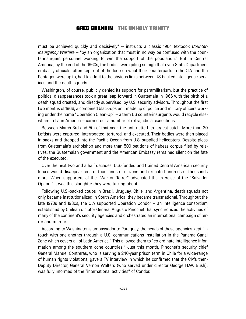must be achieved quickly and decisively" – instructs a classic 1964 textbook *Counter-Insurgency Warfare* – "by an organization that must in no way be confused with the counterinsurgent personnel working to win the support of the population." But in Central America, by the end of the 1960s, the bodies were piling so high that even State Department embassy officials, often kept out of the loop on what their counterparts in the CIA and the Pentagon were up to, had to admit to the obvious links between US-backed intelligence services and the death squads.

Washington, of course, publicly denied its support for paramilitarism, but the practice of political disappearances took a great leap forward in Guatemala in 1966 with the birth of a death squad created, and directly supervised, by U.S. security advisors. Throughout the first two months of 1966, a combined black-ops unit made up of police and military officers working under the name "Operation Clean-Up" – a term US counterinsurgents would recycle elsewhere in Latin America – carried out a number of extrajudicial executions.

Between March 3rd and 5th of that year, the unit netted its largest catch. More than 30 Leftists were captured, interrogated, tortured, and executed. Their bodies were then placed in sacks and dropped into the Pacific Ocean from U.S.-supplied helicopters. Despite pleas from Guatemala's archbishop and more than 500 petitions of habeas corpus filed by relatives, the Guatemalan government and the American Embassy remained silent on the fate of the executed.

Over the next two and a half decades, U.S.-funded and trained Central American security forces would disappear tens of thousands of citizens and execute hundreds of thousands more. When supporters of the "War on Terror" advocated the exercise of the "Salvador Option," it was this slaughter they were talking about.

Following U.S.-backed coups in Brazil, Uruguay, Chile, and Argentina, death squads not only became institutionalized in South America, they became transnational. Throughout the late 1970s and 1980s, the CIA supported Operation Condor – an intelligence consortium established by Chilean dictator General Augusto Pinochet that synchronized the activities of many of the continent's security agencies and orchestrated an international campaign of terror and murder.

According to Washington's ambassador to Paraguay, the heads of these agencies kept "in touch with one another through a U.S. communications installation in the Panama Canal Zone which covers all of Latin America." This allowed them to "co-ordinate intelligence information among the southern cone countries." Just this month, Pinochet's security chief General Manuel Contreras, who is serving a 240-year prison term in Chile for a wide-range of human rights violations, gave a TV interview in which he confirmed that the CIA's then-Deputy Director, General Vernon Walters (who served under director George H.W. Bush), was fully informed of the "international activities" of Condor.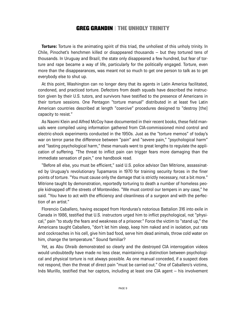**Torture:** Torture is the animating spirit of this triad, the unholiest of this unholy trinity. In Chile, Pinochet's henchmen killed or disappeared thousands – but they tortured tens of thousands. In Uruguay and Brazil, the state only disappeared a few hundred, but fear of torture and rape became a way of life, particularly for the politically engaged. Torture, even more than the disappearances, was meant not so much to get one person to talk as to get everybody else to shut up.

At this point, Washington can no longer deny that its agents in Latin America facilitated, condoned, and practiced torture. Defectors from death squads have described the instruction given by their U.S. tutors, and survivors have testified to the presence of Americans in their torture sessions. One Pentagon "torture manual" distributed in at least five Latin American countries described at length "coercive" procedures designed to "destroy [the] capacity to resist."

As Naomi Klein and Alfred McCoy have documented in their recent books, these field manuals were compiled using information gathered from CIA-commissioned mind control and electric-shock experiments conducted in the 1950s. Just as the "torture memos" of today's war on terror parse the difference between "pain" and "severe pain," "psychological harm" and "lasting psychological harm," these manuals went to great lengths to regulate the application of suffering. "The threat to inflict pain can trigger fears more damaging than the immediate sensation of pain," one handbook read.

"Before all else, you must be efficient," said U.S. police advisor Dan Mitrione, assassinated by Uruguay's revolutionary Tupamaros in 1970 for training security forces in the finer points of torture. "You must cause only the damage that is strictly necessary, not a bit more." Mitrione taught by demonstration, reportedly torturing to death a number of homeless people kidnapped off the streets of Montevideo. "We must control our tempers in any case," he said. "You have to act with the efficiency and cleanliness of a surgeon and with the perfection of an artist."

Florencio Caballero, having escaped from Honduras's notorious Battalion 316 into exile in Canada in 1986, testified that U.S. instructors urged him to inflict psychological, not "physical," pain "to study the fears and weakness of a prisoner." Force the victim to "stand up," the Americans taught Caballero, "don't let him sleep, keep him naked and in isolation, put rats and cockroaches in his cell, give him bad food, serve him dead animals, throw cold water on him, change the temperature." Sound familiar?

Yet, as Abu Ghraib demonstrated so clearly and the destroyed CIA interrogation videos would undoubtedly have made no less clear, maintaining a distinction between psychological and physical torture is not always possible. As one manual conceded, if a suspect does not respond, then the threat of direct pain "must be carried out." One of Caballero's victims, Inés Murillo, testified that her captors, including at least one CIA agent – his involvement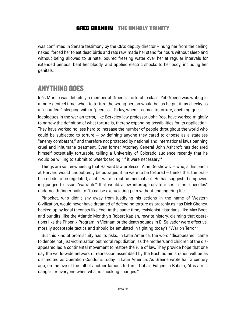was confirmed in Senate testimony by the CIA's deputy director – hung her from the ceiling naked, forced her to eat dead birds and rats raw, made her stand for hours without sleep and without being allowed to urinate, poured freezing water over her at regular intervals for extended periods, beat her bloody, and applied electric shocks to her body, including her genitals.

## **ANYTHING GOES**

Inés Murillo was definitely a member of Greene's torturable class. Yet Greene was writing in a more genteel time, when to torture the wrong person would be, as he put it, as cheeky as a "chauffeur" sleeping with a "peeress." Today, when it comes to torture, anything goes.

Ideologues in the war on terror, like Berkeley law professor John Yoo, have worked mightily to narrow the definition of what torture is, thereby expanding possibilities for its application. They have worked no less hard to increase the number of people throughout the world who could be subjected to torture – by defining anyone they cared to choose as a stateless "enemy combatant," and therefore not protected by national and international laws banning cruel and inhumane treatment. Even former Attorney General John Ashcroft has declared himself potentially torturable, telling a University of Colorado audience recently that he would be willing to submit to waterboarding "if it were necessary."

Things are so freewheeling that Harvard law professor Alan Dershowitz – who, at his perch at Harvard would undoubtedly be outraged if he were to be tortured – thinks that the practice needs to be regulated, as if it were a routine medical act. He has suggested empowering judges to issue "warrants" that would allow interrogators to insert "sterile needles" underneath finger nails to "to cause excruciating pain without endangering life."

Pinochet, who didn't shy away from justifying his actions in the name of Western Civilization, would never have dreamed of defending torture as brazenly as has Dick Cheney, backed up by legal theorists like Yoo. At the same time, revisionist historians, like Max Boot, and pundits, like the Atlantic Monthly's Robert Kaplan, rewrite history, claiming that operations like the Phoenix Program in Vietnam or the death squads in El Salvador were effective, morally acceptable tactics and should be emulated in fighting today's "War on Terror."

But this kind of promiscuity has its risks. In Latin America, the word "disappeared" came to denote not just victimization but moral repudiation, as the mothers and children of the disappeared led a continental movement to restore the rule of law. They provide hope that one day the world-wide network of repression assembled by the Bush administration will be as discredited as Operation Condor is today in Latin America. As Greene wrote half a century ago, on the eve of the fall of another famous torturer, Cuba's Fulgencio Batista, "it is a real danger for everyone when what is shocking changes."